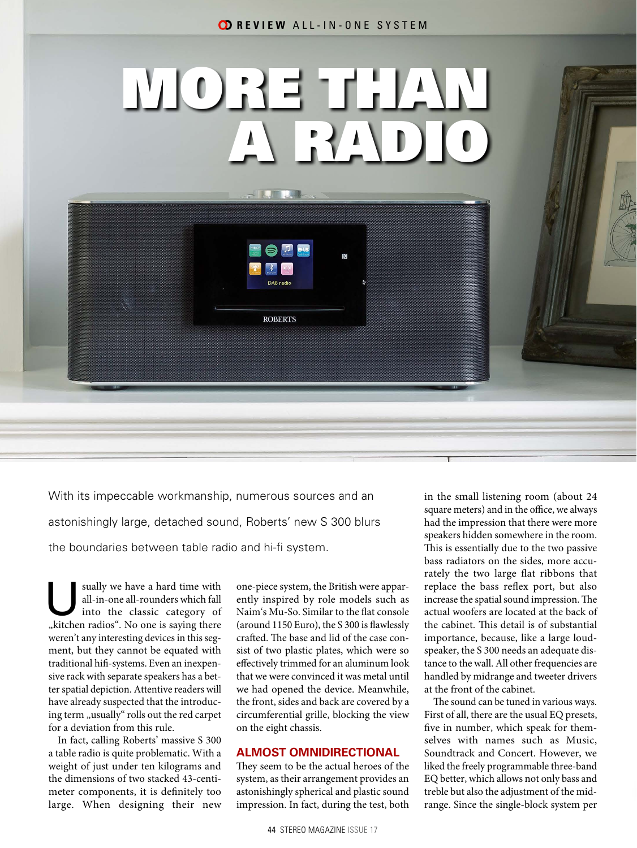# MORE THAN A RADIO

N

Hiller Teath

**ROBERTS** 

With its impeccable workmanship, numerous sources and an astonishingly large, detached sound, Roberts' new S 300 blurs the boundaries between table radio and hi-fi system.

sually we have a hard time with<br>
all-in-one all-rounders which fall<br>
into the classic category of<br>
kitchen radioe". No one is saying there all-in-one all-rounders which fall "kitchen radios". No one is saying there weren't any interesting devices in this segment, but they cannot be equated with traditional hifi-systems. Even an inexpensive rack with separate speakers has a better spatial depiction. Attentive readers will have already suspected that the introducing term "usually" rolls out the red carpet for a deviation from this rule.

In fact, calling Roberts' massive S 300 a table radio is quite problematic. With a weight of just under ten kilograms and the dimensions of two stacked 43-centimeter components, it is definitely too large. When designing their new

one-piece system, the British were apparently inspired by role models such as Naim's Mu-So. Similar to the flat console (around 1150 Euro), the S 300 is flawlessly crafted. The base and lid of the case consist of two plastic plates, which were so effectively trimmed for an aluminum look that we were convinced it was metal until we had opened the device. Meanwhile, the front, sides and back are covered by a circumferential grille, blocking the view on the eight chassis.

# **ALMOST OMNIDIRECTIONAL**

They seem to be the actual heroes of the system, as their arrangement provides an astonishingly spherical and plastic sound impression. In fact, during the test, both

44 STEREO MAGAZINE ISSUE 17

in the small listening room (about 24 square meters) and in the office, we always had the impression that there were more speakers hidden somewhere in the room. This is essentially due to the two passive bass radiators on the sides, more accurately the two large flat ribbons that replace the bass reflex port, but also increase the spatial sound impression. The actual woofers are located at the back of the cabinet. This detail is of substantial importance, because, like a large loudspeaker, the S 300 needs an adequate distance to the wall. All other frequencies are handled by midrange and tweeter drivers at the front of the cabinet.

The sound can be tuned in various ways. First of all, there are the usual EQ presets, five in number, which speak for themselves with names such as Music, Soundtrack and Concert. However, we liked the freely programmable three-band EQ better, which allows not only bass and treble but also the adjustment of the midrange. Since the single-block system per